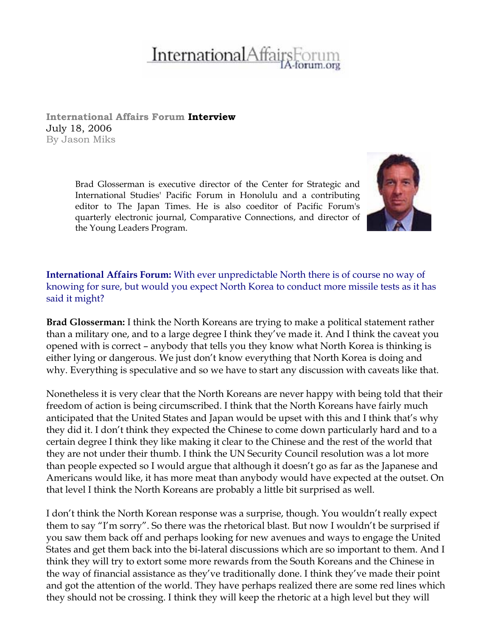## **InternationalAffai**

**International Affairs Forum Interview**  July 18, 2006 By Jason Miks

> Brad Glosserman is executive director of the Center for Strategic and International Studies' Pacific Forum in Honolulu and a contributing editor to The Japan Times. He is also coeditor of Pacific Forum's quarterly electronic journal, Comparative Connections, and director of the Young Leaders Program.



**International Affairs Forum:** With ever unpredictable North there is of course no way of knowing for sure, but would you expect North Korea to conduct more missile tests as it has said it might?

**Brad Glosserman:** I think the North Koreans are trying to make a political statement rather than a military one, and to a large degree I think they've made it. And I think the caveat you opened with is correct – anybody that tells you they know what North Korea is thinking is either lying or dangerous. We just don't know everything that North Korea is doing and why. Everything is speculative and so we have to start any discussion with caveats like that.

Nonetheless it is very clear that the North Koreans are never happy with being told that their freedom of action is being circumscribed. I think that the North Koreans have fairly much anticipated that the United States and Japan would be upset with this and I think that's why they did it. I don't think they expected the Chinese to come down particularly hard and to a certain degree I think they like making it clear to the Chinese and the rest of the world that they are not under their thumb. I think the UN Security Council resolution was a lot more than people expected so I would argue that although it doesn't go as far as the Japanese and Americans would like, it has more meat than anybody would have expected at the outset. On that level I think the North Koreans are probably a little bit surprised as well.

I don't think the North Korean response was a surprise, though. You wouldn't really expect them to say "I'm sorry". So there was the rhetorical blast. But now I wouldn't be surprised if you saw them back off and perhaps looking for new avenues and ways to engage the United States and get them back into the bi-lateral discussions which are so important to them. And I think they will try to extort some more rewards from the South Koreans and the Chinese in the way of financial assistance as they've traditionally done. I think they've made their point and got the attention of the world. They have perhaps realized there are some red lines which they should not be crossing. I think they will keep the rhetoric at a high level but they will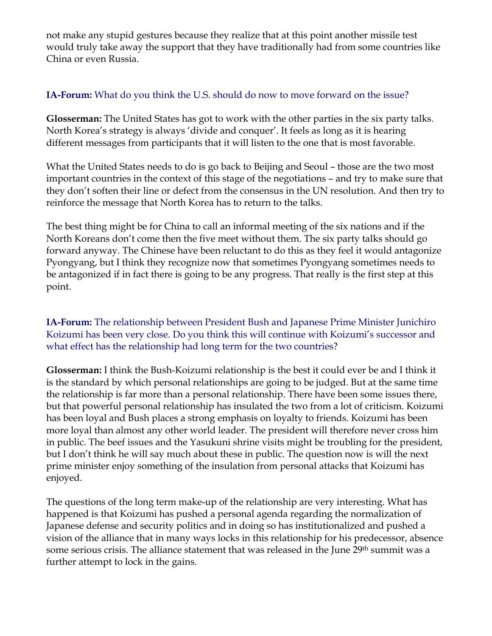not make any stupid gestures because they realize that at this point another missile test would truly take away the support that they have traditionally had from some countries like China or even Russia.

## **IA-Forum:** What do you think the U.S. should do now to move forward on the issue?

**Glosserman:** The United States has got to work with the other parties in the six party talks. North Korea's strategy is always 'divide and conquer'. It feels as long as it is hearing different messages from participants that it will listen to the one that is most favorable.

What the United States needs to do is go back to Beijing and Seoul – those are the two most important countries in the context of this stage of the negotiations – and try to make sure that they don't soften their line or defect from the consensus in the UN resolution. And then try to reinforce the message that North Korea has to return to the talks.

The best thing might be for China to call an informal meeting of the six nations and if the North Koreans don't come then the five meet without them. The six party talks should go forward anyway. The Chinese have been reluctant to do this as they feel it would antagonize Pyongyang, but I think they recognize now that sometimes Pyongyang sometimes needs to be antagonized if in fact there is going to be any progress. That really is the first step at this point.

**IA-Forum:** The relationship between President Bush and Japanese Prime Minister Junichiro Koizumi has been very close. Do you think this will continue with Koizumi's successor and what effect has the relationship had long term for the two countries?

**Glosserman:** I think the Bush-Koizumi relationship is the best it could ever be and I think it is the standard by which personal relationships are going to be judged. But at the same time the relationship is far more than a personal relationship. There have been some issues there, but that powerful personal relationship has insulated the two from a lot of criticism. Koizumi has been loyal and Bush places a strong emphasis on loyalty to friends. Koizumi has been more loyal than almost any other world leader. The president will therefore never cross him in public. The beef issues and the Yasukuni shrine visits might be troubling for the president, but I don't think he will say much about these in public. The question now is will the next prime minister enjoy something of the insulation from personal attacks that Koizumi has enjoyed.

The questions of the long term make-up of the relationship are very interesting. What has happened is that Koizumi has pushed a personal agenda regarding the normalization of Japanese defense and security politics and in doing so has institutionalized and pushed a vision of the alliance that in many ways locks in this relationship for his predecessor, absence some serious crisis. The alliance statement that was released in the June 29<sup>th</sup> summit was a further attempt to lock in the gains.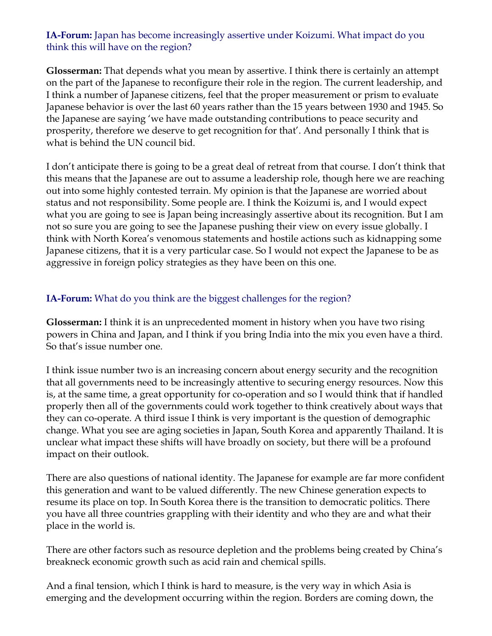## **IA-Forum:** Japan has become increasingly assertive under Koizumi. What impact do you think this will have on the region?

**Glosserman:** That depends what you mean by assertive. I think there is certainly an attempt on the part of the Japanese to reconfigure their role in the region. The current leadership, and I think a number of Japanese citizens, feel that the proper measurement or prism to evaluate Japanese behavior is over the last 60 years rather than the 15 years between 1930 and 1945. So the Japanese are saying 'we have made outstanding contributions to peace security and prosperity, therefore we deserve to get recognition for that'. And personally I think that is what is behind the UN council bid.

I don't anticipate there is going to be a great deal of retreat from that course. I don't think that this means that the Japanese are out to assume a leadership role, though here we are reaching out into some highly contested terrain. My opinion is that the Japanese are worried about status and not responsibility. Some people are. I think the Koizumi is, and I would expect what you are going to see is Japan being increasingly assertive about its recognition. But I am not so sure you are going to see the Japanese pushing their view on every issue globally. I think with North Korea's venomous statements and hostile actions such as kidnapping some Japanese citizens, that it is a very particular case. So I would not expect the Japanese to be as aggressive in foreign policy strategies as they have been on this one.

## **IA-Forum:** What do you think are the biggest challenges for the region?

**Glosserman:** I think it is an unprecedented moment in history when you have two rising powers in China and Japan, and I think if you bring India into the mix you even have a third. So that's issue number one.

I think issue number two is an increasing concern about energy security and the recognition that all governments need to be increasingly attentive to securing energy resources. Now this is, at the same time, a great opportunity for co-operation and so I would think that if handled properly then all of the governments could work together to think creatively about ways that they can co-operate. A third issue I think is very important is the question of demographic change. What you see are aging societies in Japan, South Korea and apparently Thailand. It is unclear what impact these shifts will have broadly on society, but there will be a profound impact on their outlook.

There are also questions of national identity. The Japanese for example are far more confident this generation and want to be valued differently. The new Chinese generation expects to resume its place on top. In South Korea there is the transition to democratic politics. There you have all three countries grappling with their identity and who they are and what their place in the world is.

There are other factors such as resource depletion and the problems being created by China's breakneck economic growth such as acid rain and chemical spills.

And a final tension, which I think is hard to measure, is the very way in which Asia is emerging and the development occurring within the region. Borders are coming down, the